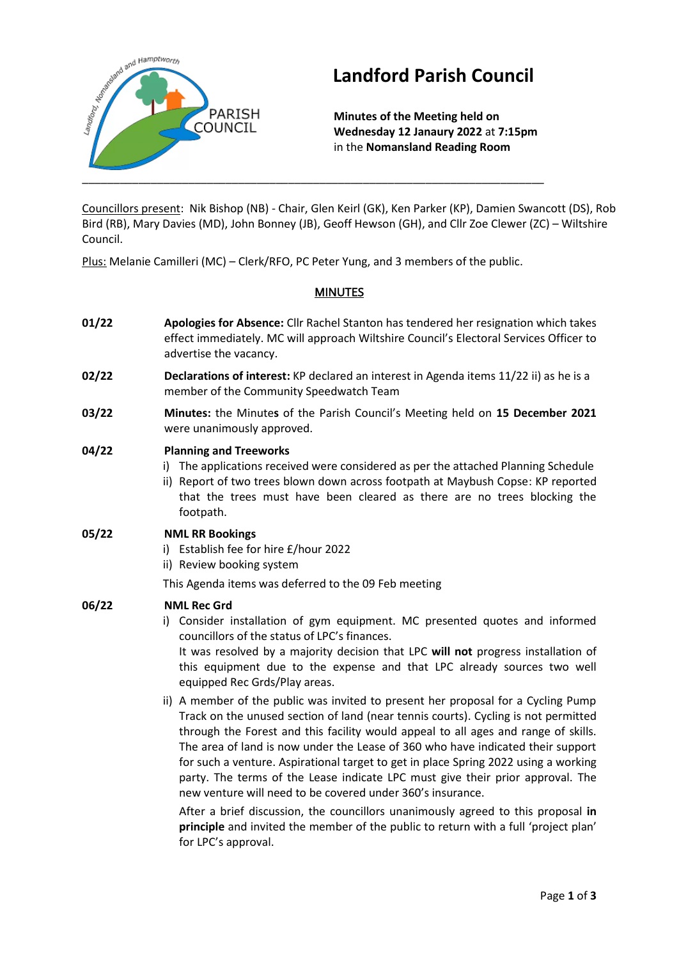

# **Landford Parish Council**

**Minutes of the Meeting held on Wednesday 12 Janaury 2022** at **7:15pm** in the **Nomansland Reading Room**

Councillors present: Nik Bishop (NB) - Chair, Glen Keirl (GK), Ken Parker (KP), Damien Swancott (DS), Rob Bird (RB), Mary Davies (MD), John Bonney (JB), Geoff Hewson (GH), and Cllr Zoe Clewer (ZC) – Wiltshire Council.

Plus: Melanie Camilleri (MC) – Clerk/RFO, PC Peter Yung, and 3 members of the public.

## MINUTES

- **01/22 Apologies for Absence:** Cllr Rachel Stanton has tendered her resignation which takes effect immediately. MC will approach Wiltshire Council's Electoral Services Officer to advertise the vacancy.
- **02/22 Declarations of interest:** KP declared an interest in Agenda items 11/22 ii) as he is a member of the Community Speedwatch Team
- **03/22 Minutes:** the Minute**s** of the Parish Council's Meeting held on **15 December 2021** were unanimously approved.

## **04/22 Planning and Treeworks**

- i) The applications received were considered as per the attached Planning Schedule
- ii) Report of two trees blown down across footpath at Maybush Copse: KP reported that the trees must have been cleared as there are no trees blocking the footpath.

## **05/22 NML RR Bookings**

- i) Establish fee for hire £/hour 2022
- ii) Review booking system

This Agenda items was deferred to the 09 Feb meeting

## **06/22 NML Rec Grd**

i) Consider installation of gym equipment. MC presented quotes and informed councillors of the status of LPC's finances. It was resolved by a majority decision that LPC **will not** progress installation of

this equipment due to the expense and that LPC already sources two well equipped Rec Grds/Play areas.

ii) A member of the public was invited to present her proposal for a Cycling Pump Track on the unused section of land (near tennis courts). Cycling is not permitted through the Forest and this facility would appeal to all ages and range of skills. The area of land is now under the Lease of 360 who have indicated their support for such a venture. Aspirational target to get in place Spring 2022 using a working party. The terms of the Lease indicate LPC must give their prior approval. The new venture will need to be covered under 360's insurance.

After a brief discussion, the councillors unanimously agreed to this proposal **in principle** and invited the member of the public to return with a full 'project plan' for LPC's approval.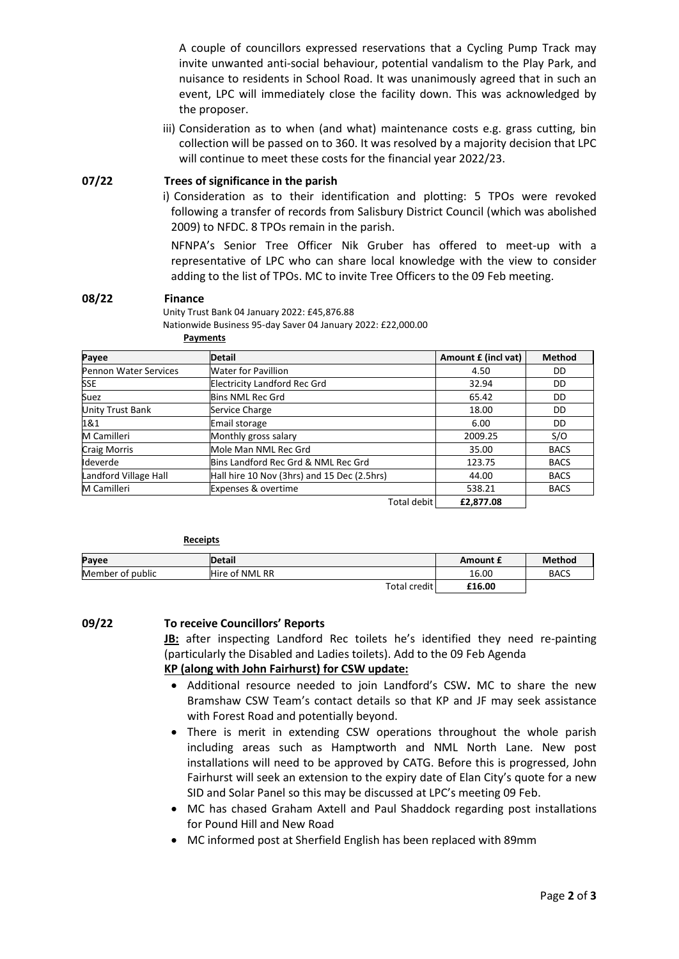A couple of councillors expressed reservations that a Cycling Pump Track may invite unwanted anti-social behaviour, potential vandalism to the Play Park, and nuisance to residents in School Road. It was unanimously agreed that in such an event, LPC will immediately close the facility down. This was acknowledged by the proposer.

iii) Consideration as to when (and what) maintenance costs e.g. grass cutting, bin collection will be passed on to 360. It was resolved by a majority decision that LPC will continue to meet these costs for the financial year 2022/23.

**07/22 Trees of significance in the parish** 

i) Consideration as to their identification and plotting: 5 TPOs were revoked following a transfer of records from Salisbury District Council (which was abolished 2009) to NFDC. 8 TPOs remain in the parish.

NFNPA's Senior Tree Officer Nik Gruber has offered to meet-up with a representative of LPC who can share local knowledge with the view to consider adding to the list of TPOs. MC to invite Tree Officers to the 09 Feb meeting.

#### **08/22 Finance**

Unity Trust Bank 04 January 2022: £45,876.88 Nationwide Business 95-day Saver 04 January 2022: £22,000.00

**Payments**

| Payee                        | <b>Detail</b>                               | Amount £ (incl vat) | <b>Method</b> |
|------------------------------|---------------------------------------------|---------------------|---------------|
| <b>Pennon Water Services</b> | <b>Water for Pavillion</b>                  | 4.50                | DD            |
| <b>SSE</b>                   | <b>Electricity Landford Rec Grd</b>         | 32.94               | DD            |
| Suez                         | Bins NML Rec Grd                            | 65.42               | DD            |
| <b>Unity Trust Bank</b>      | Service Charge                              | 18.00               | DD            |
| 1&1                          | Email storage                               | 6.00                | DD            |
| M Camilleri                  | Monthly gross salary                        | 2009.25             | S/O           |
| <b>Craig Morris</b>          | Mole Man NML Rec Grd                        | 35.00               | <b>BACS</b>   |
| Ideverde                     | Bins Landford Rec Grd & NML Rec Grd         | 123.75              | <b>BACS</b>   |
| Landford Village Hall        | Hall hire 10 Nov (3hrs) and 15 Dec (2.5hrs) | 44.00               | <b>BACS</b>   |
| M Camilleri                  | <b>Expenses &amp; overtime</b>              | 538.21              | <b>BACS</b>   |
|                              | <b>Total debit</b>                          | £2,877.08           |               |

| <b>Receipts</b>  |                |              |          |               |
|------------------|----------------|--------------|----------|---------------|
| Payee            | <b>Detail</b>  |              | Amount £ | <b>Method</b> |
| Member of public | Hire of NML RR |              | 16.00    | <b>BACS</b>   |
|                  |                | Total credit | £16.00   |               |

**09/22 To receive Councillors' Reports**

**JB:** after inspecting Landford Rec toilets he's identified they need re-painting (particularly the Disabled and Ladies toilets). Add to the 09 Feb Agenda **KP (along with John Fairhurst) for CSW update:** 

- Additional resource needed to join Landford's CSW**.** MC to share the new Bramshaw CSW Team's contact details so that KP and JF may seek assistance with Forest Road and potentially beyond.
- There is merit in extending CSW operations throughout the whole parish including areas such as Hamptworth and NML North Lane. New post installations will need to be approved by CATG. Before this is progressed, John Fairhurst will seek an extension to the expiry date of Elan City's quote for a new SID and Solar Panel so this may be discussed at LPC's meeting 09 Feb.
- MC has chased Graham Axtell and Paul Shaddock regarding post installations for Pound Hill and New Road
- MC informed post at Sherfield English has been replaced with 89mm